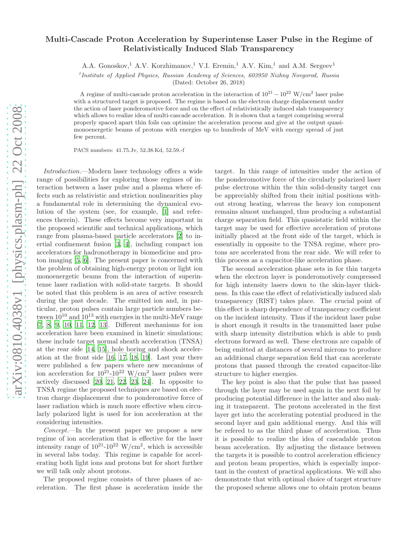## Multi-Cascade Proton Acceleration by Superintense Laser Pulse in the Regime of Relativistically Induced Slab Transparency

A.A. Gonoskov,<sup>1</sup> A.V. Korzhimanov,<sup>1</sup> V.I. Eremin,<sup>1</sup> A.V. Kim,<sup>1</sup> and A.M. Sergeev<sup>1</sup>

<sup>1</sup> Institute of Applied Physics, Russian Academy of Sciences, 603950 Nizhny Novgorod, Russia

(Dated: October 26, 2018)

A regime of multi-cascade proton acceleration in the interaction of  $10^{21} - 10^{22}$  W/cm<sup>2</sup> laser pulse with a structured target is proposed. The regime is based on the electron charge displacement under the action of laser ponderomotive force and on the effect of relativistically induced slab transparency which allows to realize idea of multi-cascade acceleration. It is shown that a target comprising several properly spaced apart thin foils can optimize the acceleration process and give at the output quasimonoenergetic beams of protons with energies up to hundreds of MeV with energy spread of just few percent.

PACS numbers: 41.75.Jv, 52.38.Kd, 52.59.-f

Introduction.—Modern laser technology offers a wide range of possibilities for exploring those regimes of interaction between a laser pulse and a plasma where effects such as relativistic and striction nonlinearities play a fundamental role in determining the dynamical evolution of the system (see, for example, [\[1\]](#page-3-0) and references therein). These effects become very important in the proposed scientific and technical applications, which range from plasma-based particle accelerators [\[2\]](#page-3-1) to inertial confinement fusion [\[3,](#page-3-2) [4](#page-3-3)], including compact ion accelerators for hadronotherapy in biomedicine and proton imaging [\[5](#page-3-4), [6\]](#page-3-5). The present paper is concerned with the problem of obtaining high-energy proton or light ion monoenergetic beams from the interaction of superintense laser radiation with solid-state targets. It should be noted that this problem is an area of active research during the past decade. The emitted ion and, in particular, proton pulses contain large particle numbers between  $10^{10}$  and  $10^{13}$  with energies in the multi-MeV range [\[7,](#page-3-6) [8](#page-3-7), [9,](#page-3-8) [10,](#page-3-9) [11,](#page-3-10) [12,](#page-3-11) [13\]](#page-4-0). Different mechanisms for ion acceleration have been examined in kinetic simulations; these include target normal sheath acceleration (TNSA) at the rear side [\[14,](#page-4-1) [15\]](#page-4-2), hole boring and shock acceleration at the front side [\[16](#page-4-3), [17,](#page-4-4) [18,](#page-4-5) [19\]](#page-4-6). Last year there were published a few papers where new mecanisms of ion acceleration for  $10^{21}$ - $10^{22}$  W/cm<sup>2</sup> laser pulses were actively discussed [\[20,](#page-4-7) [21,](#page-4-8) [22,](#page-4-9) [23](#page-4-10), [24](#page-4-11)]. In opposite to TNSA regime the proposed techniques are based on electron charge displacement due to ponderomotive force of laser radiation which is much more effective when circularly polarized light is used for ion acceleration at the considering intensities.

Concept.—In the present paper we propose a new regime of ion acceleration that is effective for the laser intensity range of  $10^{21}$ - $10^{22}$  W/cm<sup>2</sup>, which is accessible in several labs today. This regime is capable for accelerating both light ions and protons but for short further we will talk only about protons.

The proposed regime consists of three phases of acceleration. The first phase is acceleration inside the

target. In this range of intensities under the action of the ponderomotive force of the circularly polarized laser pulse electrons within the thin solid-density target can be appreciably shifted from their initial positions without strong heating, whereas the heavy ion component remains almost unchanged, thus producing a substantial charge separation field. This quasistatic field within the target may be used for effective acceleration of protons initially placed at the front side of the target, which is essentially in opposite to the TNSA regime, where protons are accelerated from the rear side. We will refer to this process as a capacitor-like acceleration phase.

The second acceleration phase sets in for thin targets when the electron layer is ponderomotively compressed for high intensity lasers down to the skin-layer thickness. In this case the effect of relativistically induced slab transparency (RIST) takes place. The crucial point of this effect is sharp dependence of transparency coefficient on the incident intensity. Thus if the incident laser pulse is short enough it results in the transmitted laser pulse with sharp intensity distribution which is able to push electrons forward as well. These electrons are capable of being emitted at distances of several microns to produce an additional charge separation field that can accelerate protons that passed through the created capacitor-like structure to higher energies.

The key point is also that the pulse that has passed through the layer may be used again in the next foil by producing potential difference in the latter and also making it transparent. The protons accelerated in the first layer get into the accelerating potential produced in the second layer and gain additional energy. And this will be refered to as the third phase of acceleration. Thus it is possible to realize the idea of cascadable proton beam acceleration. By adjusting the distance between the targets it is possible to control acceleration efficiency and proton beam properties, which is especially important in the context of practical applications. We will also demonstrate that with optimal choice of target structure the proposed scheme allows one to obtain proton beams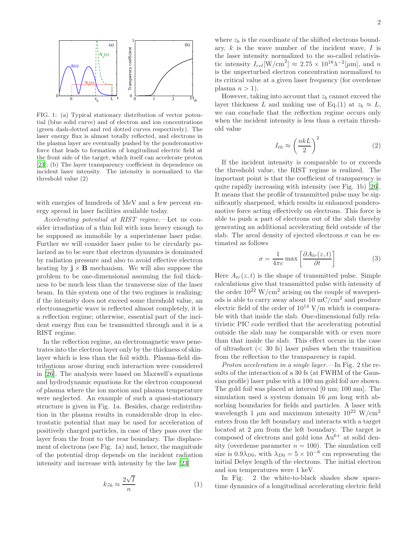

FIG. 1: (a) Typical stationary distribution of vector potential (blue solid curve) and of electron and ion concentrations (green dash-dotted and red dotted curves respectively). The laser energy flux is almost totally reflected, and electrons in the plasma layer are eventually pushed by the ponderomotive force that leads to formation of longitudinal electric field at the front side of the target, which itself can accelerate proton [\[23\]](#page-4-10); (b) The layer transparency coefficient in dependence on incident laser intensity. The intensity is normalized to the threshold value (2)

with energies of hundreds of MeV and a few percent energy spread in laser facilities available today.

Accelerating potential at RIST regime.—Let us consider irradiation of a thin foil with ions heavy enough to be supposed as immobile by a superintense laser pulse. Further we will consider laser pulse to be circularly polarized as to be sure that electron dynamics is dominated by radiation pressure and also to avoid effective electron heating by  $\mathbf{j} \times \mathbf{B}$  mechanism. We will also suppose the problem to be one-dimensional assuming the foil thickness to be much less than the transverse size of the laser beam. In this system one of the two regimes is realizing: if the intensity does not exceed some threshold value, an electromagnetic wave is reflected almost completely, it is a reflection regime; otherwise, essential part of the incident energy flux can be transmitted through and it is a RIST regime.

In the reflection regime, an electromagnetic wave penetrates into the electron layer only by the thickness of skinlayer which is less than the foil width. Plasma-field distributions arose during such interaction were considered in [\[26](#page-4-12)]. The analysis were based on Maxwell's equations and hydrodynamic equations for the electron component of plasma where the ion motion and plasma temperature were neglected. An example of such a quasi-stationary structure is given in Fig. 1a. Besides, charge redistribution in the plasma results in considerable drop in electrostatic potential that may be used for acceleration of positively charged particles, in case of they pass over the layer from the front to the rear boundary. The displacement of electrons (see Fig. 1a) and, hence, the magnitude of the potential drop depends on the incident radiation intensity and increase with intensity by the law [\[23\]](#page-4-10)

$$
kz_b \approx \frac{2\sqrt{I}}{n} \tag{1}
$$

where  $z_b$  is the coordinate of the shifted electrons boundary,  $k$  is the wave number of the incident wave,  $I$  is the laser intensity normalized to the so-called relativistic intensity  $I_{rel}$ [W/cm<sup>2</sup>]  $\approx 2.75 \times 10^{18} \lambda^{-2}$ [ $\mu$ m], and *n* is the unperturbed electron concentration normalized to its critical value at a given laser frequency (for overdense plasma  $n > 1$ ).

However, taking into account that  $z<sub>b</sub>$  cannot exceed the layer thickness L and making use of Eq.(1) at  $z_b \approx L$ , we can conclude that the reflection regime occurs only when the incident intensity is less than a certain threshold value

$$
I_{th} \approx \left(\frac{nkL}{2}\right)^2 \tag{2}
$$

If the incident intensity is comparable to or exceeds the threshold value, the RIST regime is realized. The important point is that the coefficient of transparency is quite rapidly increasing with intensity (see Fig. 1b) [\[26\]](#page-4-12). It means that the profile of transmitted pulse may be significantly sharpened, which results in enhanced ponderomotive force acting effectively on electrons. This force is able to push a part of electrons out of the slab thereby generating an additional accelerating field outside of the slab. The areal density of ejected electrons  $\sigma$  can be estimated as follows

$$
\sigma = \frac{1}{4\pi c} \max \left[ \frac{\partial A_{tr}(z, t)}{\partial t} \right] \tag{3}
$$

Here  $A_{tr}(z, t)$  is the shape of transmitted pulse. Simple calculations give that transmitted pulse with intensity of the order  $10^{22}$  W/cm<sup>2</sup> arising on the couple of waveperiods is able to carry away about 10  $\rm mC/cm^2$  and produce electric field of the order of  $10^{14}$  V/m which is comparable with that inside the slab. One-dimensional fully relativistic PIC code verified that the accelerating potential outside the slab may be comparable with or even more than that inside the slab. This effect occurs in the case of ultrashort  $( $30 \text{ fs}$ ) laser pulses when the transition$ from the reflection to the transparency is rapid.

Proton acceleration in a single layer.—In Fig. 2 the results of the interaction of a 30 fs (at FWHM of the Gaussian profile) laser pulse with a 100 nm gold foil are shown. The gold foil was placed at interval [0 nm; 100 nm]. The simulation used a system domain 16  $\mu$ m long with absorbing boundaries for fields and particles. A laser with wavelength 1  $\mu$ m and maximum intensity 10<sup>22</sup> W/cm<sup>2</sup> enters from the left boundary and interacts with a target located at 2  $\mu$ m from the left boundary. The target is composed of electrons and gold ions  $Au^{6+}$  at solid density (overdense parameter  $n = 100$ ). The simulation cell size is  $0.9\lambda_{D0}$ , with  $\lambda_{D0} = 5 \times 10^{-8}$  cm representing the initial Debye length of the electrons. The initial electron and ion temperatures were 1 keV.

In Fig. 2 the white-to-black shades show spacetime dynamics of a longitudinal accelerating electric field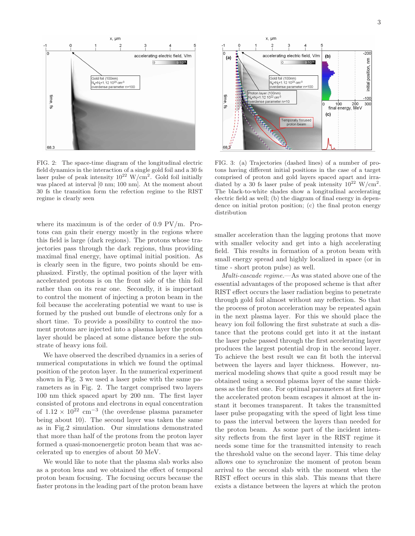

FIG. 2: The space-time diagram of the longitudinal electric field dynamics in the interaction of a single gold foil and a 30 fs laser pulse of peak intensity  $10^{22}$  W/cm<sup>2</sup>. Gold foil initially was placed at interval [0 nm; 100 nm]. At the moment about 30 fs the transition form the refection regime to the RIST regime is clearly seen

where its maximum is of the order of 0.9 PV/m. Protons can gain their energy mostly in the regions where this field is large (dark regions). The protons whose trajectories pass through the dark regions, thus providing maximal final energy, have optimal initial position. As is clearly seen in the figure, two points should be emphasized. Firstly, the optimal position of the layer with accelerated protons is on the front side of the thin foil rather than on its rear one. Secondly, it is important to control the moment of injecting a proton beam in the foil because the accelerating potential we want to use is formed by the pushed out bundle of electrons only for a short time. To provide a possibility to control the moment protons are injected into a plasma layer the proton layer should be placed at some distance before the substrate of heavy ions foil.

We have observed the described dynamics in a series of numerical computations in which we found the optimal position of the proton layer. In the numerical experiment shown in Fig. 3 we used a laser pulse with the same parameters as in Fig. 2. The target comprised two layers 100 nm thick spaced apart by 200 nm. The first layer consisted of protons and electrons in equal concentration of  $1.12 \times 10^{22}$  cm<sup>-3</sup> (the overdense plasma parameter being about 10). The second layer was taken the same as in Fig.2 simulation. Our simulations demonstrated that more than half of the protons from the proton layer formed a quasi-monoenergetic proton beam that was accelerated up to energies of about 50 MeV.

We would like to note that the plasma slab works also as a proton lens and we obtained the effect of temporal proton beam focusing. The focusing occurs because the faster protons in the leading part of the proton beam have



FIG. 3: (a) Trajectories (dashed lines) of a number of protons having different initial positions in the case of a target comprised of proton and gold layers spaced apart and irradiated by a 30 fs laser pulse of peak intensity  $10^{22}$  W/cm<sup>2</sup>. The black-to-white shades show a longitudinal accelerating electric field as well; (b) the diagram of final energy in dependence on initial proton position; (c) the final proton energy distribution

smaller acceleration than the lagging protons that move with smaller velocity and get into a high accelerating field. This results in formation of a proton beam with small energy spread and highly localized in space (or in time - short proton pulse) as well.

Multi-cascade regime.—As was stated above one of the essential advantages of the proposed scheme is that after RIST effect occurs the laser radiation begins to penetrate through gold foil almost without any reflection. So that the process of proton acceleration may be repeated again in the next plasma layer. For this we should place the heavy ion foil following the first substrate at such a distance that the protons could get into it at the instant the laser pulse passed through the first accelerating layer produces the largest potential drop in the second layer. To achieve the best result we can fit both the interval between the layers and layer thickness. However, numerical modeling shows that quite a good result may be obtained using a second plasma layer of the same thickness as the first one. For optimal parameters at first layer the accelerated proton beam escapes it almost at the instant it becomes transparent. It takes the transmitted laser pulse propagating with the speed of light less time to pass the interval between the layers than needed for the proton beam. As some part of the incident intensity reflects from the first layer in the RIST regime it needs some time for the transmitted intensity to reach the threshold value on the second layer. This time delay allows one to synchronize the moment of proton beam arrival to the second slab with the moment when the RIST effect occurs in this slab. This means that there exists a distance between the layers at which the proton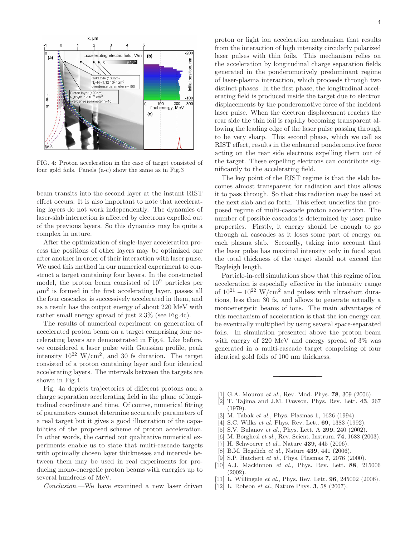

FIG. 4: Proton acceleration in the case of target consisted of four gold foils. Panels (a-c) show the same as in Fig.3

beam transits into the second layer at the instant RIST effect occurs. It is also important to note that accelerating layers do not work independently. The dynamics of laser-slab interaction is affected by electrons expelled out of the previous layers. So this dynamics may be quite a complex in nature.

After the optimization of single-layer acceleration process the positions of other layers may be optimized one after another in order of their interaction with laser pulse. We used this method in our numerical experiment to construct a target containing four layers. In the constructed model, the proton beam consisted of 10<sup>9</sup> particles per  $\mu$ m<sup>2</sup> is formed in the first accelerating layer, passes all the four cascades, is successively accelerated in them, and as a result has the output energy of about 220 MeV with rather small energy spread of just 2.3% (see Fig.4c).

The results of numerical experiment on generation of accelerated proton beam on a target comprising four accelerating layers are demonstrated in Fig.4. Like before, we considered a laser pulse with Gaussian profile, peak intensity  $10^{22}$  W/cm<sup>2</sup>, and 30 fs duration. The target consisted of a proton containing layer and four identical accelerating layers. The intervals between the targets are shown in Fig.4.

Fig. 4a depicts trajectories of different protons and a charge separation accelerating field in the plane of longitudinal coordinate and time. Of course, numerical fitting of parameters cannot determine accurately parameters of a real target but it gives a good illustration of the capabilities of the proposed scheme of proton acceleration. In other words, the carried out qualitative numerical experiments enable us to state that multi-cascade targets with optimally chosen layer thicknesses and intervals between them may be used in real experiments for producing mono-energetic proton beams with energies up to several hundreds of MeV.

Conclusion.—We have examined a new laser driven

proton or light ion acceleration mechanism that results from the interaction of high intensity circularly polarized laser pulses with thin foils. This mechanism relies on the acceleration by longitudinal charge separation fields generated in the ponderomotively predominant regime of laser-plasma interaction, which proceeds through two distinct phases. In the first phase, the longitudinal accelerating field is produced inside the target due to electron displacements by the ponderomotive force of the incident laser pulse. When the electron displacement reaches the rear side the thin foil is rapidly becoming transparent allowing the leading edge of the laser pulse passing through to be very sharp. This second phase, which we call as RIST effect, results in the enhanced ponderomotive force acting on the rear side electrons expelling them out of the target. These expelling electrons can contribute significantly to the accelerating field.

The key point of the RIST regime is that the slab becomes almost transparent for radiation and thus allows it to pass through. So that this radiation may be used at the next slab and so forth. This effect underlies the proposed regime of multi-cascade proton acceleration. The number of possible cascades is determined by laser pulse properties. Firstly, it energy should be enough to go through all cascades as it loses some part of energy on each plasma slab. Secondly, taking into account that the laser pulse has maximal intensity only in focal spot the total thickness of the target should not exceed the Rayleigh length.

Particle-in-cell simulations show that this regime of ion acceleration is especially effective in the intensity range of  $10^{21} - 10^{22}$  W/cm<sup>2</sup> and pulses with ultrashort durations, less than 30 fs, and allows to generate actually a monoenergetic beams of ions. The main advantages of this mechanism of acceleration is that the ion energy can be eventually multiplied by using several space-separated foils. In simulation presented above the proton beam with energy of 220 MeV and energy spread of 3% was generated in a multi-cascade target comprising of four identical gold foils of 100 nm thickness.

- <span id="page-3-0"></span>[1] G.A. Mourou *et al.*, Rev. Mod. Phys. **78**, 309 (2006).
- <span id="page-3-1"></span>[2] T. Tajima and J.M. Dawson, Phys. Rev. Lett. 43, 267 (1979).
- <span id="page-3-2"></span>M. Tabak *et al.*, Phys. Plasmas 1, 1626 (1994).
- <span id="page-3-3"></span>[4] S.C. Wilks et al. Phys. Rev. Lett. **69**, 1383 (1992).
- <span id="page-3-4"></span>[5] S.V. Bulanov *et al.*, Phys. Lett. A **299**, 240 (2002).
- <span id="page-3-5"></span>[6] M. Borghesi et al., Rev. Scient. Instrum. **74**, 1688 (2003).
- <span id="page-3-6"></span>[7] H. Schwoerer  $et$  al., Nature **439**, 445 (2006).
- <span id="page-3-7"></span>[8] B.M. Hegelich et al., Nature 439, 441 (2006).
- <span id="page-3-8"></span>[9] S.P. Hatchett  $et$  al., Phys. Plasmas  $7, 2076$  (2000).
- <span id="page-3-9"></span>[10] A.J. Mackinnon et al., Phys. Rev. Lett. 88, 215006 (2002).
- <span id="page-3-10"></span>[11] L. Willingale *et al.*, Phys. Rev. Lett. **96**, 245002 (2006).
- <span id="page-3-11"></span>[12] L. Robson *et al.*, Nature Phys. **3**, 58 (2007).